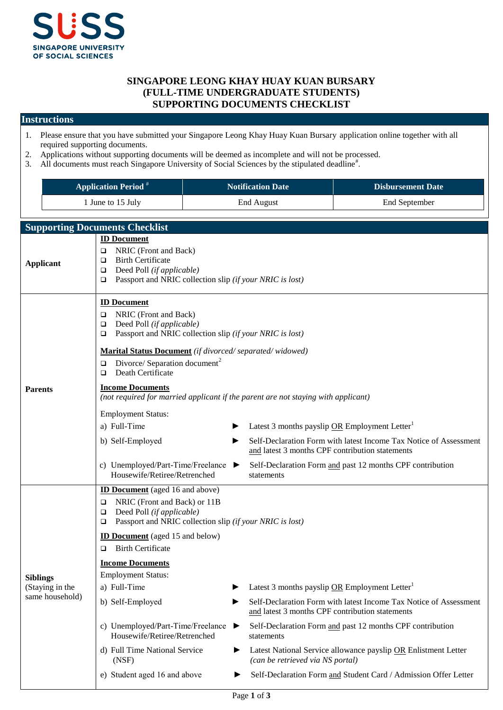

## **SINGAPORE LEONG KHAY HUAY KUAN BURSARY (FULL-TIME UNDERGRADUATE STUDENTS) SUPPORTING DOCUMENTS CHECKLIST**

## **Instructions**

- 1. Please ensure that you have submitted your Singapore Leong Khay Huay Kuan Bursary application online together with all required supporting documents.
- 2. Applications without supporting documents will be deemed as incomplete and will not be processed.
- 3. All documents must reach Singapore University of Social Sciences by the stipulated deadline<sup>#</sup>.

| <b>Application Period</b> <sup>#</sup> | Notification Date | <b>Disbursement Date</b> |
|----------------------------------------|-------------------|--------------------------|
| June to 15 July                        | End August        | End September            |

|                                                       | <b>Supporting Documents Checklist</b>                                                                                                                                                                                                                                                                                                                                                                                                                                                                                                                                                                                                                                                                                                                                                                                                                                                                                                                |  |  |
|-------------------------------------------------------|------------------------------------------------------------------------------------------------------------------------------------------------------------------------------------------------------------------------------------------------------------------------------------------------------------------------------------------------------------------------------------------------------------------------------------------------------------------------------------------------------------------------------------------------------------------------------------------------------------------------------------------------------------------------------------------------------------------------------------------------------------------------------------------------------------------------------------------------------------------------------------------------------------------------------------------------------|--|--|
| <b>Applicant</b>                                      | <b>ID Document</b><br>NRIC (Front and Back)<br>□<br><b>Birth Certificate</b><br>□<br>Deed Poll (if applicable)<br>□<br>Passport and NRIC collection slip (if your NRIC is lost)<br>□                                                                                                                                                                                                                                                                                                                                                                                                                                                                                                                                                                                                                                                                                                                                                                 |  |  |
| <b>Parents</b>                                        | <b>ID Document</b><br>NRIC (Front and Back)<br>□<br>Deed Poll (if applicable)<br>□<br>Passport and NRIC collection slip (if your NRIC is lost)<br>□<br>Marital Status Document (if divorced/separated/widowed)<br>Divorce/ Separation document <sup>2</sup><br>□<br>Death Certificate<br>□<br><b>Income Documents</b><br>(not required for married applicant if the parent are not staying with applicant)<br><b>Employment Status:</b><br>a) Full-Time<br>Latest 3 months payslip OR Employment Letter <sup>1</sup><br>Self-Declaration Form with latest Income Tax Notice of Assessment<br>b) Self-Employed<br>▶<br>and latest 3 months CPF contribution statements<br>c) Unemployed/Part-Time/Freelance<br>Self-Declaration Form and past 12 months CPF contribution<br>Housewife/Retiree/Retrenched<br>statements                                                                                                                                |  |  |
| <b>Siblings</b><br>(Staying in the<br>same household) | <b>ID Document</b> (aged 16 and above)<br>NRIC (Front and Back) or 11B<br>□<br>Deed Poll (if applicable)<br>□<br>Passport and NRIC collection slip (if your NRIC is lost)<br>□<br><b>ID Document</b> (aged 15 and below)<br><b>Birth Certificate</b><br>▫<br><b>Income Documents</b><br><b>Employment Status:</b><br>a) Full-Time<br>Latest 3 months payslip OR Employment Letter<br>b) Self-Employed<br>Self-Declaration Form with latest Income Tax Notice of Assessment<br>▶<br>and latest 3 months CPF contribution statements<br>c) Unemployed/Part-Time/Freelance<br>Self-Declaration Form and past 12 months CPF contribution<br>▶<br>Housewife/Retiree/Retrenched<br>statements<br>d) Full Time National Service<br>Latest National Service allowance payslip OR Enlistment Letter<br>▶<br>(can be retrieved via NS portal)<br>(NSF)<br>e) Student aged 16 and above<br>Self-Declaration Form and Student Card / Admission Offer Letter<br>▶ |  |  |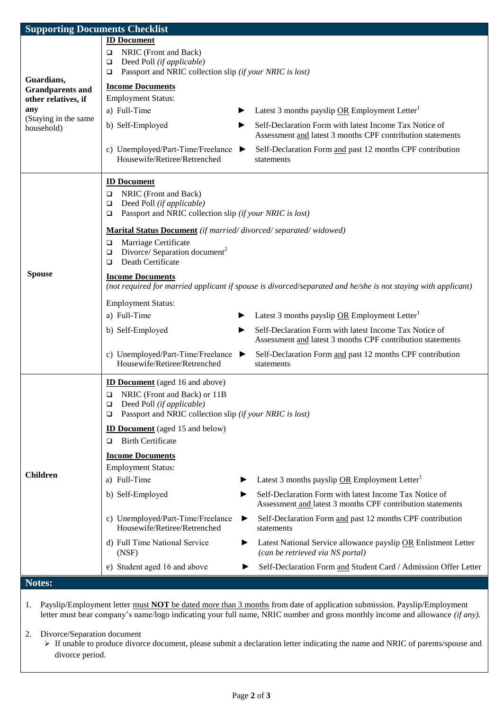| <b>Supporting Documents Checklist</b>          |                                                                                                               |                                                                                                                      |  |  |  |
|------------------------------------------------|---------------------------------------------------------------------------------------------------------------|----------------------------------------------------------------------------------------------------------------------|--|--|--|
|                                                | <b>ID Document</b>                                                                                            |                                                                                                                      |  |  |  |
|                                                | NRIC (Front and Back)<br>$\Box$                                                                               |                                                                                                                      |  |  |  |
|                                                | Deed Poll (if applicable)<br>$\Box$<br>Passport and NRIC collection slip (if your NRIC is lost)<br>$\Box$     |                                                                                                                      |  |  |  |
| Guardians,                                     | <b>Income Documents</b>                                                                                       |                                                                                                                      |  |  |  |
| <b>Grandparents and</b><br>other relatives, if | <b>Employment Status:</b>                                                                                     |                                                                                                                      |  |  |  |
| any                                            | a) Full-Time                                                                                                  | Latest 3 months payslip OR Employment Letter <sup>1</sup>                                                            |  |  |  |
| (Staying in the same<br>household)             | b) Self-Employed<br>▶                                                                                         | Self-Declaration Form with latest Income Tax Notice of                                                               |  |  |  |
|                                                |                                                                                                               | Assessment and latest 3 months CPF contribution statements                                                           |  |  |  |
|                                                | c) Unemployed/Part-Time/Freelance<br>▶<br>Housewife/Retiree/Retrenched                                        | Self-Declaration Form and past 12 months CPF contribution<br>statements                                              |  |  |  |
|                                                |                                                                                                               |                                                                                                                      |  |  |  |
|                                                | <b>ID Document</b><br>NRIC (Front and Back)<br>$\Box$                                                         |                                                                                                                      |  |  |  |
|                                                | Deed Poll (if applicable)<br>$\Box$                                                                           |                                                                                                                      |  |  |  |
|                                                | Passport and NRIC collection slip (if your NRIC is lost)<br>$\Box$                                            |                                                                                                                      |  |  |  |
|                                                | Marital Status Document (if married/divorced/separated/widowed)                                               |                                                                                                                      |  |  |  |
|                                                | Marriage Certificate<br>□                                                                                     |                                                                                                                      |  |  |  |
|                                                | Divorce/ Separation document <sup>2</sup><br>$\Box$<br>Death Certificate<br>▫                                 |                                                                                                                      |  |  |  |
| <b>Spouse</b>                                  | <b>Income Documents</b>                                                                                       |                                                                                                                      |  |  |  |
|                                                | (not required for married applicant if spouse is divorced/separated and he/she is not staying with applicant) |                                                                                                                      |  |  |  |
|                                                | <b>Employment Status:</b>                                                                                     |                                                                                                                      |  |  |  |
|                                                | a) Full-Time                                                                                                  | Latest 3 months payslip OR Employment Letter <sup>1</sup>                                                            |  |  |  |
|                                                | b) Self-Employed                                                                                              | Self-Declaration Form with latest Income Tax Notice of<br>Assessment and latest 3 months CPF contribution statements |  |  |  |
|                                                | c) Unemployed/Part-Time/Freelance<br>▶<br>Housewife/Retiree/Retrenched                                        | Self-Declaration Form and past 12 months CPF contribution<br>statements                                              |  |  |  |
|                                                | <b>ID Document</b> (aged 16 and above)                                                                        |                                                                                                                      |  |  |  |
|                                                | NRIC (Front and Back) or 11B<br>□                                                                             |                                                                                                                      |  |  |  |
|                                                | $\Box$<br>Deed Poll (if applicable)<br>Passport and NRIC collection slip (if your NRIC is lost)<br>▫          |                                                                                                                      |  |  |  |
|                                                | <b>ID Document</b> (aged 15 and below)                                                                        |                                                                                                                      |  |  |  |
|                                                | <b>Birth Certificate</b><br>▫                                                                                 |                                                                                                                      |  |  |  |
|                                                | <b>Income Documents</b>                                                                                       |                                                                                                                      |  |  |  |
|                                                | <b>Employment Status:</b>                                                                                     |                                                                                                                      |  |  |  |
| <b>Children</b>                                | a) Full-Time                                                                                                  | Latest 3 months payslip OR Employment Letter <sup>1</sup>                                                            |  |  |  |
|                                                | b) Self-Employed<br>▶                                                                                         | Self-Declaration Form with latest Income Tax Notice of<br>Assessment and latest 3 months CPF contribution statements |  |  |  |
|                                                | c) Unemployed/Part-Time/Freelance<br>▶<br>Housewife/Retiree/Retrenched                                        | Self-Declaration Form and past 12 months CPF contribution<br>statements                                              |  |  |  |
|                                                | d) Full Time National Service<br>▶<br>(NSF)                                                                   | Latest National Service allowance payslip OR Enlistment Letter<br>(can be retrieved via NS portal)                   |  |  |  |
|                                                | e) Student aged 16 and above                                                                                  | Self-Declaration Form and Student Card / Admission Offer Letter                                                      |  |  |  |
| Notes:                                         |                                                                                                               |                                                                                                                      |  |  |  |
|                                                |                                                                                                               |                                                                                                                      |  |  |  |

1. Payslip/Employment letter must **NOT** be dated more than 3 months from date of application submission. Payslip/Employment letter must bear company's name/logo indicating your full name, NRIC number and gross monthly income and allowance *(if any).*

2. Divorce/Separation document

 If unable to produce divorce document, please submit a declaration letter indicating the name and NRIC of parents/spouse and divorce period.